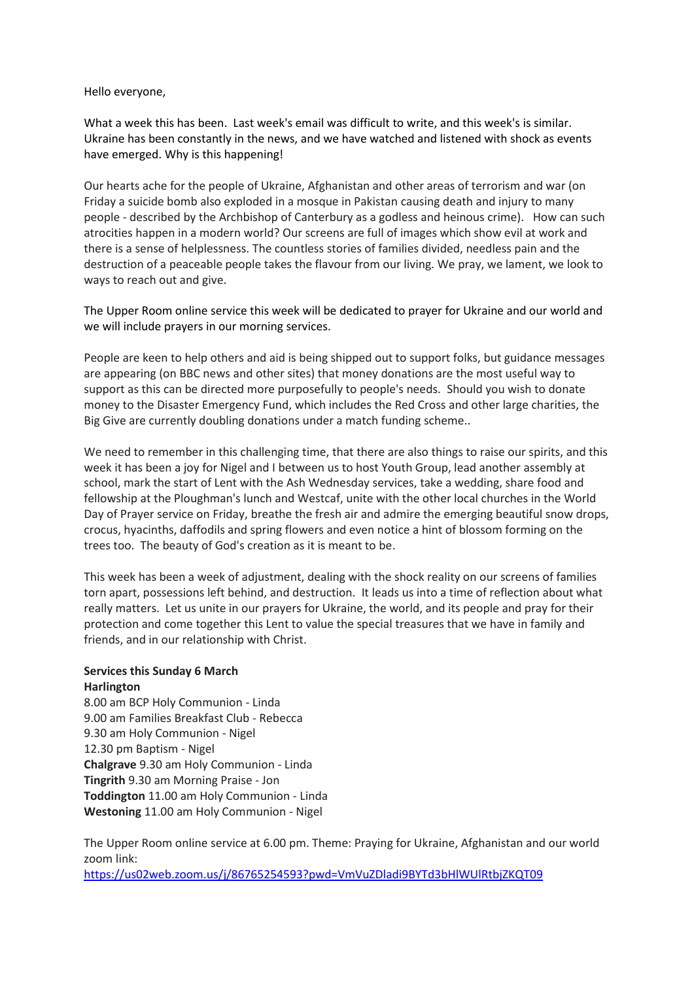## Hello everyone,

What a week this has been. Last week's email was difficult to write, and this week's is similar. Ukraine has been constantly in the news, and we have watched and listened with shock as events have emerged. Why is this happening!

Our hearts ache for the people of Ukraine, Afghanistan and other areas of terrorism and war (on Friday a suicide bomb also exploded in a mosque in Pakistan causing death and injury to many people - described by the Archbishop of Canterbury as a godless and heinous crime). How can such atrocities happen in a modern world? Our screens are full of images which show evil at work and there is a sense of helplessness. The countless stories of families divided, needless pain and the destruction of a peaceable people takes the flavour from our living. We pray, we lament, we look to ways to reach out and give.

The Upper Room online service this week will be dedicated to prayer for Ukraine and our world and we will include prayers in our morning services.

People are keen to help others and aid is being shipped out to support folks, but guidance messages are appearing (on BBC news and other sites) that money donations are the most useful way to support as this can be directed more purposefully to people's needs. Should you wish to donate money to the Disaster Emergency Fund, which includes the Red Cross and other large charities, the Big Give are currently doubling donations under a match funding scheme..

We need to remember in this challenging time, that there are also things to raise our spirits, and this week it has been a joy for Nigel and I between us to host Youth Group, lead another assembly at school, mark the start of Lent with the Ash Wednesday services, take a wedding, share food and fellowship at the Ploughman's lunch and Westcaf, unite with the other local churches in the World Day of Prayer service on Friday, breathe the fresh air and admire the emerging beautiful snow drops, crocus, hyacinths, daffodils and spring flowers and even notice a hint of blossom forming on the trees too. The beauty of God's creation as it is meant to be.

This week has been a week of adjustment, dealing with the shock reality on our screens of families torn apart, possessions left behind, and destruction. It leads us into a time of reflection about what really matters. Let us unite in our prayers for Ukraine, the world, and its people and pray for their protection and come together this Lent to value the special treasures that we have in family and friends, and in our relationship with Christ.

## **Services this Sunday 6 March Harlington**

8.00 am BCP Holy Communion - Linda 9.00 am Families Breakfast Club - Rebecca 9.30 am Holy Communion - Nigel 12.30 pm Baptism - Nigel **Chalgrave** 9.30 am Holy Communion - Linda **Tingrith** 9.30 am Morning Praise - Jon **Toddington** 11.00 am Holy Communion - Linda **Westoning** 11.00 am Holy Communion - Nigel

The Upper Room online service at 6.00 pm. Theme: Praying for Ukraine, Afghanistan and our world zoom link:

<https://us02web.zoom.us/j/86765254593?pwd=VmVuZDladi9BYTd3bHlWUlRtbjZKQT09>